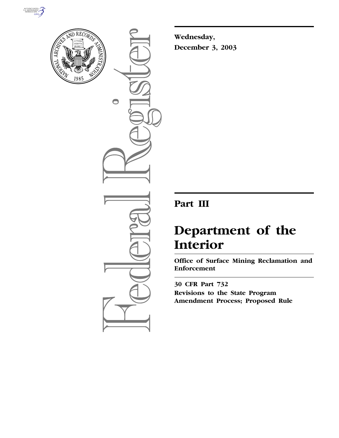



 $\bigcirc$ 

**Wednesday, December 3, 2003**

# **Part III**

# **Department of the Interior**

**Office of Surface Mining Reclamation and Enforcement** 

**30 CFR Part 732 Revisions to the State Program Amendment Process; Proposed Rule**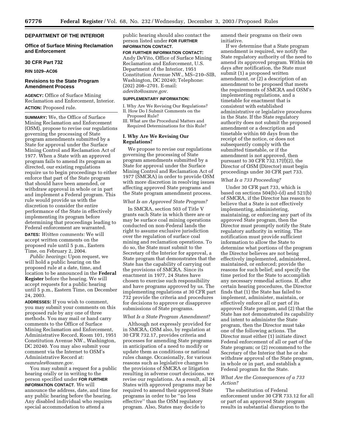# **DEPARTMENT OF THE INTERIOR**

**Office of Surface Mining Reclamation and Enforcement** 

#### **30 CFR Part 732**

**RIN 1029–AC06**

# **Revisions to the State Program Amendment Process**

**AGENCY:** Office of Surface Mining Reclamation and Enforcement, Interior. **ACTION:** Proposed rule.

**SUMMARY:** We, the Office of Surface Mining Reclamation and Enforcement (OSM), propose to revise our regulations governing the processing of State program amendments submitted by a State for approval under the Surface Mining Control and Reclamation Act of 1977. When a State with an approved program fails to amend its program as directed, our existing regulations require us to begin proceedings to either enforce that part of the State program that should have been amended, or withdraw approval in whole or in part and implement a Federal program. This rule would provide us with the discretion to consider the entire performance of the State in effectively implementing its program before determining that proceedings leading to Federal enforcement are warranted.

**DATES:** *Written comments:* We will accept written comments on the proposed rule until 5 p.m., Eastern Time, on February 2, 2004.

*Public hearings:* Upon request, we will hold a public hearing on the proposed rule at a date, time, and location to be announced in the **Federal Register** before the hearing. We will accept requests for a public hearing until 5 p.m., Eastern Time, on December 24, 2003.

**ADDRESSES:** If you wish to comment, you may submit your comments on this proposed rule by any one of three methods. You may mail or hand carry comments to the Office of Surface Mining Reclamation and Enforcement, Administrative Record, Room 101, 1951 Constitution Avenue NW., Washington, DC 20240. You may also submit your comment via the Internet to OSM's Administrative Record at: *osmrules@osmre.gov.*

You may submit a request for a public hearing orally or in writing to the person specified under **FOR FURTHER INFORMATION CONTACT**. We will announce the address, date, and time for any public hearing before the hearing. Any disabled individual who requires special accommodation to attend a

public hearing should also contact the person listed under **FOR FURTHER INFORMATION CONTACT**.

#### **FOR FURTHER INFORMATION CONTACT:**

Andy DeVito, Office of Surface Mining Reclamation and Enforcement, U.S. Department of the Interior, 1951 Constitution Avenue NW., MS–210–SIB, Washington, DC 20240; Telephone: (202) 208–2701. E-mail: *adevito@osmre.gov.*

#### **SUPPLEMENTARY INFORMATION:**

I. Why Are We Revising Our Regulations? II. How Do I Submit Comments on the Proposed Rule?

III. What are the Procedural Matters and Required Determinations for this Rule?

# **I. Why Are We Revising Our Regulations?**

We propose to revise our regulations governing the processing of State program amendments submitted by a State for approval under the Surface Mining Control and Reclamation Act of 1977 (SMCRA) in order to provide OSM with more discretion in resolving issues affecting approved State programs and the State program amendment process.

# *What Is an Approved State Program?*

In SMCRA, section 503 of Title V grants each State in which there are or may be surface coal mining operations conducted on non-Federal lands the right to assume exclusive jurisdiction over the regulation of surface coal mining and reclamation operations. To do so, the State must submit to the Secretary of the Interior for approval, a State program that demonstrates that the State has the capability of carrying out the provisions of SMCRA. Since its enactment in 1977, 24 States have chosen to exercise such responsibility and have programs approved by us. The implementing regulations at 30 CFR part 732 provide the criteria and procedures for decisions to approve or disapprove submissions of State programs.

#### *What Is a State Program Amendment?*

Although not expressly provided for in SMCRA, OSM also, by regulation at 30 CFR 732.17, provides criteria and processes for amending State programs in anticipation of a need to modify or update them as conditions or national rules change. Occasionally, for various reasons such as legislative changes to the provisions of SMCRA or litigation resulting in adverse court decisions, we revise our regulations. As a result, all 24 States with approved programs may be required to amend their approved State programs in order to be ''no less effective'' than the OSM regulatory program. Also, States may decide to

amend their programs on their own initiative.

If we determine that a State program amendment is required, we notify the State regulatory authority of the need to amend its approved program. Within 60 days after notification, the State must submit (1) a proposed written amendment, or (2) a description of an amendment to be proposed that meets the requirements of SMCRA and OSM's implementing regulations, and a timetable for enactment that is consistent with established administrative or legislative procedures in the State. If the State regulatory authority does not submit the proposed amendment or a description and timetable within 60 days from the receipt of the notice, or does not subsequently comply with the submitted timetable, or if the amendment is not approved, then pursuant to 30 CFR  $\overline{7}32.17(f)(2)$ , the Director of OSM (Director) must begin proceedings under 30 CFR part 733.

# *What Is a 733 Proceeding?*

Under 30 CFR part 733, which is based on sections 504(b)–(d) and 521(b) of SMCRA, if the Director has reason to believe that a State is not effectively implementing, administering, maintaining, or enforcing any part of its approved State program, then the Director must promptly notify the State regulatory authority in writing. The notification must provide sufficient information to allow the State to determine what portions of the program the Director believes are not being effectively implemented, administered, maintained, or enforced; provide the reasons for such belief; and specify the time period for the State to accomplish any necessary remedial actions. If, after certain hearing procedures, the Director finds that (1) the State has failed to implement, administer, maintain, or effectively enforce all or part of its approved State program, and (2) that the State has not demonstrated its capability and intent to administer the State program, then the Director must take one of the following actions. The Director must either (1) initiate direct Federal enforcement of all or part of the State program; or (2) recommend to the Secretary of the Interior that he or she withdraw approval of the State program, in whole or in part, and establish a Federal program for the State.

# *What Are the Consequences of a 733 Action?*

The substitution of Federal enforcement under 30 CFR 733.12 for all or part of an approved State program results in substantial disruption to the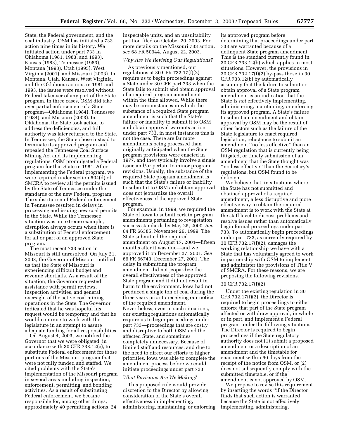State, the Federal government, and the coal industry. OSM has initiated a 733 action nine times in its history. We initiated action under part 733 in Oklahoma (1981, 1983, and 1993), Kansas (1983), Tennessee (1983), Montana (1993), Utah (1995), West Virginia (2001), and Missouri (2003). In Montana, Utah, Kansas, West Virginia, and the Oklahoma actions in 1981 and 1993, the issues were resolved without Federal takeover of any part of the State program. In three cases, OSM did take over partial enforcement of a State program—Oklahoma (1984), Tennessee (1984), and Missouri (2003). In Oklahoma, the State took action to address the deficiencies, and full authority was later returned to the State. In Tennessee, the State chose instead to terminate its approved program and repealed the Tennessee Coal Surface Mining Act and its implementing regulations. OSM promulgated a Federal program for that State in 1984. After implementing the Federal program, we were required under section 504(d) of SMCRA to review all the permits issued by the State of Tennessee under the standards of the new Federal program. The substitution of Federal enforcement in Tennessee resulted in delays in processing and issuing new coal permits in the State. While the Tennessee situation was an extreme example, disruption always occurs when there is a substitution of Federal enforcement for all or part of an approved State program.

The most recent 733 action in Missouri is still unresolved. On July 21, 2003, the Governor of Missouri notified us that the State of Missouri is experiencing difficult budget and revenue shortfalls. As a result of the situation, the Governor requested assistance with permit reviews, inspection activities, and general oversight of the active coal mining operations in the State. The Governor indicated that he was hopeful his request would be temporary and that he would continue to work with the legislature in an attempt to assure adequate funding for all responsibilities.

On August 4, 2003, we notified the Governor that we were obligated, in accordance with 30 CFR 733.12(e), to substitute Federal enforcement for those portions of the Missouri program that were not fully funded and staffed. We cited problems with the State's implementation of the Missouri program in several areas including inspection, enforcement, permitting, and bonding activities. As a result of substituting Federal enforcement, we became responsible for, among other things, approximately 40 permitting actions, 24

inspectable units, and an unsuitability petition filed on October 20, 2003. For more details on the Missouri 733 action, *see* 68 FR 50944, August 22, 2003.

#### *Why Are We Revising Our Regulations?*

As previously mentioned, our regulations at 30 CFR 732.17(f)(2) require us to begin proceedings against a State under 30 CFR part 733 when the State fails to submit and obtain approval of a required program amendment within the time allowed. While there may be circumstances in which the substance of a required State program amendment is such that the State's failure or inability to submit it to OSM and obtain approval warrants action under part 733, in most instances this is not the case. There are far more amendments being processed than originally anticipated when the State program provisions were enacted in 1977, and they typically involve a single issue and/or pertain to minor program revisions. Usually, the substance of the required State program amendment is such that the State's failure or inability to submit it to OSM and obtain approval does not jeopardize the overall effectiveness of the approved State program.

For example, in 1999, we required the State of Iowa to submit certain program amendments pertaining to revegetation success standards by May 25, 2000. *See* 64 FR 66385; November 26, 1999. The State submitted the required amendment on August 17, 2001—fifteen months after it was due—and we approved it on December 27, 2001. *See* 66 FR 66743; December 27, 2001. The delay in submitting the program amendment did not jeopardize the overall effectiveness of the approved State program and it did not result in harm to the environment. Iowa had not produced a single ton of coal during the three years prior to receiving our notice of the required amendment. Nevertheless, even in such situations, our existing regulations automatically require us to begin proceedings under part 733—proceedings that are costly and disruptive to both OSM and the affected State, and sometimes completely unnecessary. Because of limited staff and resources, and due to the need to direct our efforts to higher priorities, Iowa was able to complete the amendment process before we could initiate proceedings under part 733.

#### *What Revisions Are We Making?*

This proposed rule would provide discretion to the Director by allowing consideration of the State's overall effectiveness in implementing, administering, maintaining, or enforcing

its approved program before determining that proceedings under part 733 are warranted because of a delinquent State program amendment. This is the standard currently found in 30 CFR 733.12(b) which applies in most situations. However, the provisions in 30 CFR 732.17(f)(2) by-pass those in 30 CFR 733.12(b) by automatically assuming that the failure to submit or obtain approval of a State program amendment is an indication that the State is *not* effectively implementing, administering, maintaining, or enforcing its approved program. A State's failure to submit an amendment and obtain approval by OSM may be the result of other factors such as the failure of the State legislature to enact required legislation, reluctance to submit an amendment ''no less effective'' than an OSM regulation that is currently being litigated, or timely submission of an amendment that the State thought was "no less effective" than the Secretary's regulations, but OSM found to be deficient.

We believe that, in situations where the State has not submitted and obtained approval of a required amendment, a less disruptive and more effective way to obtain the required amendment is to work with the State at the staff level to discuss problems and resolve issues rather than automatically begin formal proceedings under part 733. To automatically begin proceedings under part 733, as currently required by 30 CFR 732.17(f)(2), damages the working relationship we have with a State that has voluntarily agreed to work in partnership with OSM to implement and administer the provisions of Title V of SMCRA. For these reasons, we are proposing the following revisions.

#### 30 CFR 732.17(f)(2)

Under the existing regulation in 30 CFR  $732.17(f)(2)$ , the Director is required to begin proceedings to either enforce that part of the State program affected or withdraw approval, in whole or in part, and implement a Federal program under the following situations. The Director is required to begin proceedings if the State regulatory authority does not (1) submit a proposed amendment or a description of an amendment and the timetable for enactment within 60 days from the receipt of the notice from OSM, or (2) does not subsequently comply with the submitted timetable, or if the amendment is not approved by OSM.

We propose to revise this requirement by inserting the words ''if the Director finds that such action is warranted because the State is not effectively implementing, administering,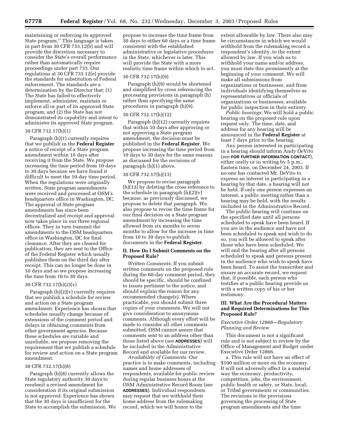maintaining or enforcing its approved State program.'' This language is taken in part from 30 CFR 733.12(b) and will provide the discretion necessary to consider the State's overall performance rather than automatically require proceedings under part 733. Our regulations at 30 CFR 733.12(e) provide the standards for substitution of Federal enforcement. The standards are a determination by the Director that: (1) The State has failed to effectively implement, administer, maintain or enforce all or part of its approved State program; and (2) the State has not demonstrated its capability and intent to administer its approved State program.

#### 30 CFR 732.17(h)(1)

Paragraph (h)(1) currently requires that we publish in the **Federal Register** a notice of receipt of a State program amendment within 10 days after receiving it from the State. We propose increasing the time period from 10 days to 30 days because we have found it difficult to meet the 10-day time period. When the regulations were originally written, State program amendments were received and processed at OSM's headquarters office in Washington, DC. The approval of State program amendments has since been decentralized and receipt and approval now takes place in our three regional offices. They in turn transmit the amendments to the OSM headquarters office in Washington, DC for final clearance. After they are cleared for publication, they are sent to the Office of the Federal Register which usually publishes them on the third day after receipt. This can no longer be done in 10 days and so we propose increasing the time from 10 to 30 days.

### 30 CFR 732.17(h)(2)(v)

Paragraph  $(h)(2)(v)$  currently requires that we publish a schedule for review and action on a State program amendment. Experience has shown that schedules usually change because of extensions of the comment period and delays in obtaining comments from other government agencies. Because these schedules are variable and unreliable, we propose removing the requirement that we publish a schedule for review and action on a State program amendment.

# 30 CFR 732.17(h)(8)

Paragraph (h)(8) currently allows the State regulatory authority 30 days to resubmit a revised amendment for consideration if its original submission is not approved. Experience has shown that the 30 days is insufficient for the State to accomplish the submission. We

propose to increase the time frame from 30 days to either 60 days or a time frame consistent with the established administrative or legislative procedures in the State, whichever is later. This will provide the State with a more realistic time frame within which to act.

#### 30 CFR 732.17(h)(9)

Paragraph (h)(9) would be shortened and simplified by cross referencing the processing provisions in paragraph (h) rather than specifying the same procedures in paragraph (h)(9).

#### 30 CFR 732.17(h)(12)

Paragraph (h)(12) currently requires that within 10 days after approving or not approving a State program amendment, the decision must be published in the **Federal Register**. We propose increasing the time period from 10 days to 30 days for the same reasons as discussed for the revisions of paragraph (h)(1) above.

#### 30 CFR 732.17(h)(13)

We propose to revise paragraph (h)(13) by deleting the cross reference to the schedule in paragraph  $(h)(2)(v)$ because, as previously discussed, we propose to delete that paragraph. We also propose to revise the time frame for our final decision on a State program amendment by increasing the time allowed from six months to seven months to allow for the increase in time from 10 to 30 days to publish documents in the **Federal Register**.

### **II. How Do I Submit Comments on the Proposed Rule?**

*Written Comments:* If you submit written comments on the proposed rule during the 60-day comment period, they should be specific, should be confined to issues pertinent to the notice, and should explain the reason for any recommended change(s). Where practicable, you should submit three copies of your comments. We will not give consideration to anonymous comments. Although every effort will be made to consider all other comments submitted, OSM cannot assure that comments sent to an address other than those listed above (*see* **ADDRESSES**) will be included in the Administrative Record and available for our review.

*Availability of Comments:* Our practice is to make comments, including names and home addresses of respondents, available for public review during regular business hours at the OSM Administrative Record Room (see **ADDRESSES**). Individual respondents may request that we withhold their home address from the rulemaking record, which we will honor to the

extent allowable by law. There also may be circumstances in which we would withhold from the rulemaking record a respondent's identity, to the extent allowed by law. If you wish us to withhold your name and/or address, you must state this prominently at the beginning of your comment. We will make all submissions from organizations or businesses, and from individuals identifying themselves as representatives or officials of organizations or businesses, available for public inspection in their entirety.

*Public hearings:* We will hold a public hearing on the proposed rule upon request only. The time, date, and address for any hearing will be announced in the **Federal Register** at least 7 days prior to the hearing.

Any person interested in participating in a hearing should inform Andy DeVito (*see* **FOR FURTHER INFORMATION CONTACT**), either orally or in writing by 5 p.m., Eastern time, on December 24, 2003. If no one has contacted Mr. DeVito to express an interest in participating in a hearing by that date, a hearing will not be held. If only one person expresses an interest, a public meeting rather than a hearing may be held, with the results included in the Administrative Record.

The public hearing will continue on the specified date until all persons scheduled to speak have been heard. If you are in the audience and have not been scheduled to speak and wish to do so, you will be allowed to speak after those who have been scheduled. We will end the hearing after all persons scheduled to speak and persons present in the audience who wish to speak have been heard. To assist the transcriber and ensure an accurate record, we request that, if possible, each person who testifies at a public hearing provide us with a written copy of his or her testimony.

#### **III. What Are the Procedural Matters and Required Determinations for This Proposed Rule?**

## *Executive Order 12866—Regulatory Planning and Review*

This document is not a significant rule and is not subject to review by the Office of Management and Budget under Executive Order 12866.

a. This rule will not have an effect of \$100 million or more on the economy. It will not adversely affect in a material way the economy, productivity, competition, jobs, the environment, public health or safety, or State, local, or Tribal governments or communities. The revisions to the provisions governing the processing of State program amendments and the time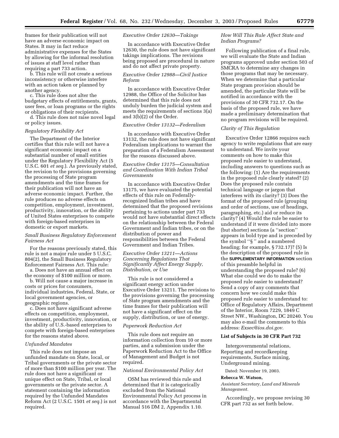frames for their publication will not have an adverse economic impact on States. It may in fact reduce administrative expenses for the States by allowing for the informal resolution of issues at staff level rather than requiring a part 733 action.

b. This rule will not create a serious inconsistency or otherwise interfere with an action taken or planned by another agency.

c. This rule does not alter the budgetary effects of entitlements, grants, user fees, or loan programs or the rights or obligations of their recipients.

d. This rule does not raise novel legal or policy issues.

#### *Regulatory Flexibility Act*

The Department of the Interior certifies that this rule will not have a significant economic impact on a substantial number of small entities under the Regulatory Flexibility Act (5 U.S.C. 601 *et seq.*). As previously stated, the revision to the provisions governing the processing of State program amendments and the time frames for their publication will not have an adverse economic impact. Further, the rule produces no adverse effects on competition, employment, investment, productivity, innovation, or the ability of United States enterprises to compete with foreign-based enterprises in domestic or export markets.

# *Small Business Regulatory Enforcement Fairness Act*

For the reasons previously stated, this rule is not a major rule under 5 U.S.C. 804(2), the Small Business Regulatory Enforcement Fairness Act. This rule:

a. Does not have an annual effect on the economy of \$100 million or more.

b. Will not cause a major increase in costs or prices for consumers, individual industries, Federal, State, or local government agencies, or geographic regions.

c. Does not have significant adverse effects on competition, employment, investment, productivity, innovation, or the ability of U.S.-based enterprises to compete with foreign-based enterprises for the reasons stated above.

#### *Unfunded Mandates*

This rule does not impose an unfunded mandate on State, local, or Tribal governments or the private sector of more than \$100 million per year. The rule does not have a significant or unique effect on State, Tribal, or local governments or the private sector. A statement containing the information required by the Unfunded Mandates Reform Act (2 U.S.C. 1501 *et seq.*) is not required.

#### *Executive Order 12630—Takings*

In accordance with Executive Order 12630, the rule does not have significant takings implications. The revisions being proposed are procedural in nature and do not affect private property.

# *Executive Order 12988—Civil Justice Reform*

In accordance with Executive Order 12988, the Office of the Solicitor has determined that this rule does not unduly burden the judicial system and meets the requirements of sections 3(a) and 3(b)(2) of the Order.

## *Executive Order 13132—Federalism*

In accordance with Executive Order 13132, the rule does not have significant Federalism implications to warrant the preparation of a Federalism Assessment for the reasons discussed above.

# *Executive Order 13175—Consultation and Coordination With Indian Tribal Governments*

In accordance with Executive Order 13175, we have evaluated the potential effects of this rule on Federallyrecognized Indian tribes and have determined that the proposed revisions pertaining to actions under part 733 would not have substantial direct effects on the relationship between the Federal Government and Indian tribes, or on the distribution of power and responsibilities between the Federal Government and Indian Tribes.

# *Executive Order 13211—Actions Concerning Regulations That Significantly Affect Energy Supply, Distribution, or Use*

This rule is not considered a significant energy action under Executive Order 13211. The revisions to the provisions governing the processing of State program amendments and the time frames for their publication will not have a significant effect on the supply, distribution, or use of energy.

# *Paperwork Reduction Act*

This rule does not require an information collection from 10 or more parties, and a submission under the Paperwork Reduction Act to the Office of Management and Budget is not required.

#### *National Environmental Policy Act*

OSM has reviewed this rule and determined that it is categorically excluded from the National Environmental Policy Act process in accordance with the Departmental Manual 516 DM 2, Appendix 1.10.

# *How Will This Rule Affect State and Indian Programs?*

Following publication of a final rule, we will evaluate the State and Indian programs approved under section 503 of SMCRA to determine any changes in those programs that may be necessary. When we determine that a particular State program provision should be amended, the particular State will be notified in accordance with the provisions of 30 CFR 732.17. On the basis of the proposed rule, we have made a preliminary determination that no program revisions will be required.

#### *Clarity of This Regulation*

Executive Order 12866 requires each agency to write regulations that are easy to understand. We invite your comments on how to make this proposed rule easier to understand, including answers to questions such as the following: (1) Are the requirements in the proposed rule clearly stated? (2) Does the proposed rule contain technical language or jargon that interferes with its clarity? (3) Does the format of the proposed rule (grouping and order of sections, use of headings, paragraphing, etc.) aid or reduce its clarity? (4) Would the rule be easier to understand if it were divided into more (but shorter) sections (a ''section'' appears in bold type and is preceded by the symbol ''§ '' and a numbered heading; for example, § 732.17)? (5) Is the description of the proposed rule in the **SUPPLEMENTARY INFORMATION** section of this preamble helpful in understanding the proposed rule? (6) What else could we do to make the proposed rule easier to understand? Send a copy of any comments that concern how we could make this proposed rule easier to understand to: Office of Regulatory Affairs, Department of the Interior, Room 7229, 1849 C Street NW., Washington, DC 20240. You may also e-mail the comments to this address: *Exsec@ios.doi.gov.*

# **List of Subjects in 30 CFR Part 732**

Intergovernmental relations, Reporting and recordkeeping requirements, Surface mining, Underground mining.

Dated: November 19, 2003.

#### **Rebecca W. Watson,**

*Assistant Secretary, Land and Minerals Management.*

Accordingly, we propose revising 30 CFR part 732 as set forth below.